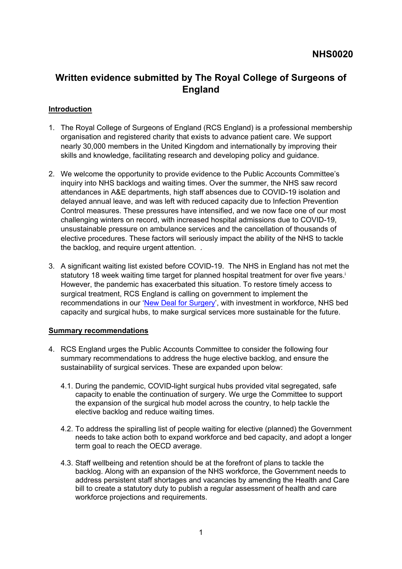# **Written evidence submitted by The Royal College of Surgeons of England**

### **Introduction**

- 1. The Royal College of Surgeons of England (RCS England) is a professional membership organisation and registered charity that exists to advance patient care. We support nearly 30,000 members in the United Kingdom and internationally by improving their skills and knowledge, facilitating research and developing policy and guidance.
- 2. We welcome the opportunity to provide evidence to the Public Accounts Committee's inquiry into NHS backlogs and waiting times. Over the summer, the NHS saw record attendances in A&E departments, high staff absences due to COVID-19 isolation and delayed annual leave, and was left with reduced capacity due to Infection Prevention Control measures. These pressures have intensified, and we now face one of our most challenging winters on record, with increased hospital admissions due to COVID-19, unsustainable pressure on ambulance services and the cancellation of thousands of elective procedures. These factors will seriously impact the ability of the NHS to tackle the backlog, and require urgent attention. .
- 3. A significant waiting list existed before COVID-19. The NHS in England has not met the statutory 18 week waiting time target for planned hospital treatment for over five years.<sup>i</sup> However, the pandemic has exacerbated this situation. To restore timely access to surgical treatment, RCS England is calling on government to implement the recommendations in our '[New](https://www.rcseng.ac.uk/about-the-rcs/government-relations-and-consultation/position-statements-and-reports/action-plan-for-england/) [Deal](https://www.rcseng.ac.uk/about-the-rcs/government-relations-and-consultation/position-statements-and-reports/action-plan-for-england/) [for](https://www.rcseng.ac.uk/about-the-rcs/government-relations-and-consultation/position-statements-and-reports/action-plan-for-england/) [Surgery'](https://www.rcseng.ac.uk/about-the-rcs/government-relations-and-consultation/position-statements-and-reports/action-plan-for-england/), with investment in workforce, NHS bed capacity and surgical hubs, to make surgical services more sustainable for the future.

#### **Summary recommendations**

- 4. RCS England urges the Public Accounts Committee to consider the following four summary recommendations to address the huge elective backlog, and ensure the sustainability of surgical services. These are expanded upon below:
	- 4.1. During the pandemic, COVID-light surgical hubs provided vital segregated, safe capacity to enable the continuation of surgery. We urge the Committee to support the expansion of the surgical hub model across the country, to help tackle the elective backlog and reduce waiting times.
	- 4.2. To address the spiralling list of people waiting for elective (planned) the Government needs to take action both to expand workforce and bed capacity, and adopt a longer term goal to reach the OECD average.
	- 4.3. Staff wellbeing and retention should be at the forefront of plans to tackle the backlog. Along with an expansion of the NHS workforce, the Government needs to address persistent staff shortages and vacancies by amending the Health and Care bill to create a statutory duty to publish a regular assessment of health and care workforce projections and requirements.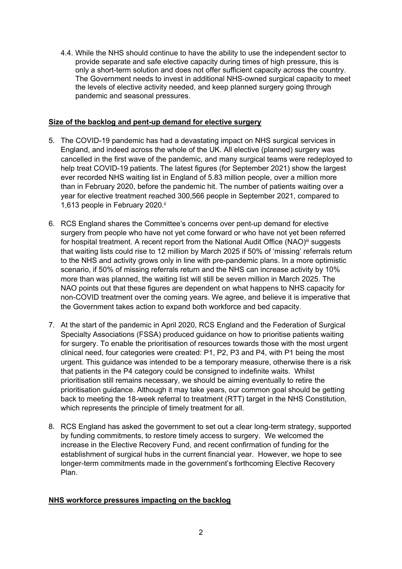4.4. While the NHS should continue to have the ability to use the independent sector to provide separate and safe elective capacity during times of high pressure, this is only a short-term solution and does not offer sufficient capacity across the country. The Government needs to invest in additional NHS-owned surgical capacity to meet the levels of elective activity needed, and keep planned surgery going through pandemic and seasonal pressures.

#### **Size of the backlog and pent-up demand for elective surgery**

- 5. The COVID-19 pandemic has had a devastating impact on NHS surgical services in England, and indeed across the whole of the UK. All elective (planned) surgery was cancelled in the first wave of the pandemic, and many surgical teams were redeployed to help treat COVID-19 patients. The latest figures (for September 2021) show the largest ever recorded NHS waiting list in England of 5.83 million people, over a million more than in February 2020, before the pandemic hit. The number of patients waiting over a year for elective treatment reached 300,566 people in September 2021, compared to 1,613 people in February 2020.<sup>ii</sup>
- 6. RCS England shares the Committee's concerns over pent-up demand for elective surgery from people who have not yet come forward or who have not yet been referred for hospital treatment. A recent report from the National Audit Office (NAO)<sup>iii</sup> suggests that waiting lists could rise to 12 million by March 2025 if 50% of 'missing' referrals return to the NHS and activity grows only in line with pre-pandemic plans. In a more optimistic scenario, if 50% of missing referrals return and the NHS can increase activity by 10% more than was planned, the waiting list will still be seven million in March 2025. The NAO points out that these figures are dependent on what happens to NHS capacity for non-COVID treatment over the coming years. We agree, and believe it is imperative that the Government takes action to expand both workforce and bed capacity.
- 7. At the start of the pandemic in April 2020, RCS England and the Federation of Surgical Specialty Associations (FSSA) produced guidance on how to prioritise patients waiting for surgery. To enable the prioritisation of resources towards those with the most urgent clinical need, four categories were created: P1, P2, P3 and P4, with P1 being the most urgent. This guidance was intended to be a temporary measure, otherwise there is a risk that patients in the P4 category could be consigned to indefinite waits. Whilst prioritisation still remains necessary, we should be aiming eventually to retire the prioritisation guidance. Although it may take years, our common goal should be getting back to meeting the 18-week referral to treatment (RTT) target in the NHS Constitution, which represents the principle of timely treatment for all.
- 8. RCS England has asked the government to set out a clear long-term strategy, supported by funding commitments, to restore timely access to surgery. We welcomed the increase in the Elective Recovery Fund, and recent confirmation of funding for the establishment of surgical hubs in the current financial year. However, we hope to see longer-term commitments made in the government's forthcoming Elective Recovery Plan.

# **NHS workforce pressures impacting on the backlog**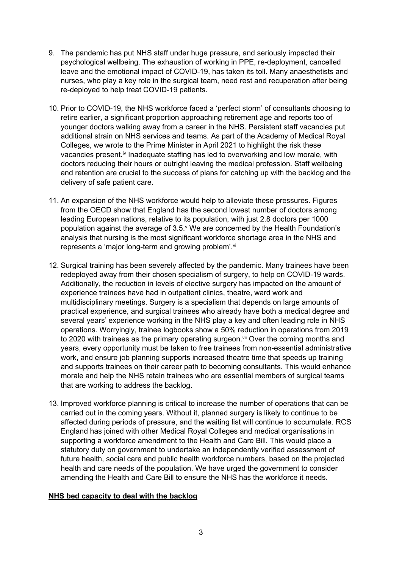- 9. The pandemic has put NHS staff under huge pressure, and seriously impacted their psychological wellbeing. The exhaustion of working in PPE, re-deployment, cancelled leave and the emotional impact of COVID-19, has taken its toll. Many anaesthetists and nurses, who play a key role in the surgical team, need rest and recuperation after being re-deployed to help treat COVID-19 patients.
- 10. Prior to COVID-19, the NHS workforce faced a 'perfect storm' of consultants choosing to retire earlier, a significant proportion approaching retirement age and reports too of younger doctors walking away from a career in the NHS. Persistent staff vacancies put additional strain on NHS services and teams. As part of the Academy of Medical Royal Colleges, we wrote to the Prime Minister in April 2021 to highlight the risk these vacancies present.<sup>iv</sup> Inadequate staffing has led to overworking and low morale, with doctors reducing their hours or outright leaving the medical profession. Staff wellbeing and retention are crucial to the success of plans for catching up with the backlog and the delivery of safe patient care.
- 11. An expansion of the NHS workforce would help to alleviate these pressures. Figures from the OECD show that England has the second lowest number of doctors among leading European nations, relative to its population, with just 2.8 doctors per 1000 population against the average of 3.5.<sup>v</sup> We are concerned by the Health Foundation's analysis that nursing is the most significant workforce shortage area in the NHS and represents a 'major long-term and growing problem'.<sup>vi</sup>
- 12. Surgical training has been severely affected by the pandemic. Many trainees have been redeployed away from their chosen specialism of surgery, to help on COVID-19 wards. Additionally, the reduction in levels of elective surgery has impacted on the amount of experience trainees have had in outpatient clinics, theatre, ward work and multidisciplinary meetings. Surgery is a specialism that depends on large amounts of practical experience, and surgical trainees who already have both a medical degree and several years' experience working in the NHS play a key and often leading role in NHS operations. Worryingly, trainee logbooks show a 50% reduction in operations from 2019 to 2020 with trainees as the primary operating surgeon.<sup>vii</sup> Over the coming months and years, every opportunity must be taken to free trainees from non-essential administrative work, and ensure job planning supports increased theatre time that speeds up training and supports trainees on their career path to becoming consultants. This would enhance morale and help the NHS retain trainees who are essential members of surgical teams that are working to address the backlog.
- 13. Improved workforce planning is critical to increase the number of operations that can be carried out in the coming years. Without it, planned surgery is likely to continue to be affected during periods of pressure, and the waiting list will continue to accumulate. RCS England has joined with other Medical Royal Colleges and medical organisations in supporting a workforce amendment to the Health and Care Bill. This would place a statutory duty on government to undertake an independently verified assessment of future health, social care and public health workforce numbers, based on the projected health and care needs of the population. We have urged the government to consider amending the Health and Care Bill to ensure the NHS has the workforce it needs.

#### **NHS bed capacity to deal with the backlog**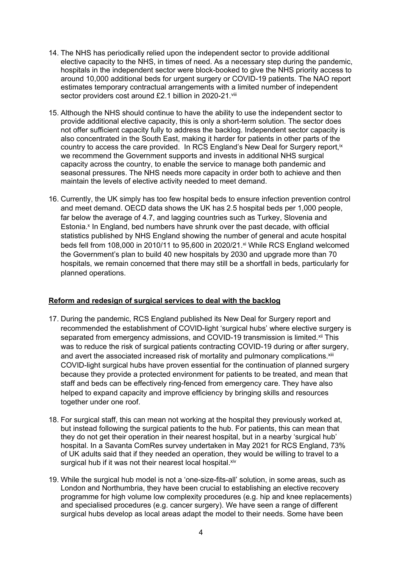- 14. The NHS has periodically relied upon the independent sector to provide additional elective capacity to the NHS, in times of need. As a necessary step during the pandemic, hospitals in the independent sector were block-booked to give the NHS priority access to around 10,000 additional beds for urgent surgery or COVID-19 patients. The NAO report estimates temporary contractual arrangements with a limited number of independent sector providers cost around £2.1 billion in 2020-21.viii
- 15. Although the NHS should continue to have the ability to use the independent sector to provide additional elective capacity, this is only a short-term solution. The sector does not offer sufficient capacity fully to address the backlog. Independent sector capacity is also concentrated in the South East, making it harder for patients in other parts of the country to access the care provided. In RCS England's New Deal for Surgery report, ix we recommend the Government supports and invests in additional NHS surgical capacity across the country, to enable the service to manage both pandemic and seasonal pressures. The NHS needs more capacity in order both to achieve and then maintain the levels of elective activity needed to meet demand.
- 16. Currently, the UK simply has too few hospital beds to ensure infection prevention control and meet demand. OECD data shows the UK has 2.5 hospital beds per 1,000 people, far below the average of 4.7, and lagging countries such as Turkey, Slovenia and Estonia.<sup>x</sup> In England, bed numbers have shrunk over the past decade, with official statistics published by NHS England showing the number of general and acute hospital beds fell from 108,000 in 2010/11 to 95,600 in 2020/21.<sup>xi</sup> While RCS England welcomed the Government's plan to build 40 new hospitals by 2030 and upgrade more than 70 hospitals, we remain concerned that there may still be a shortfall in beds, particularly for planned operations.

# **Reform and redesign of surgical services to deal with the backlog**

- 17. During the pandemic, RCS England published its New Deal for Surgery report and recommended the establishment of COVID-light 'surgical hubs' where elective surgery is separated from emergency admissions, and COVID-19 transmission is limited.<sup>xii</sup> This was to reduce the risk of surgical patients contracting COVID-19 during or after surgery, and avert the associated increased risk of mortality and pulmonary complications.<sup>xiii</sup> COVID-light surgical hubs have proven essential for the continuation of planned surgery because they provide a protected environment for patients to be treated, and mean that staff and beds can be effectively ring-fenced from emergency care. They have also helped to expand capacity and improve efficiency by bringing skills and resources together under one roof.
- 18. For surgical staff, this can mean not working at the hospital they previously worked at, but instead following the surgical patients to the hub. For patients, this can mean that they do not get their operation in their nearest hospital, but in a nearby 'surgical hub' hospital. In a Savanta ComRes survey undertaken in May 2021 for RCS England, 73% of UK adults said that if they needed an operation, they would be willing to travel to a surgical hub if it was not their nearest local hospital. Xiv
- 19. While the surgical hub model is not a 'one-size-fits-all' solution, in some areas, such as London and Northumbria, they have been crucial to establishing an elective recovery programme for high volume low complexity procedures (e.g. hip and knee replacements) and specialised procedures (e.g. cancer surgery). We have seen a range of different surgical hubs develop as local areas adapt the model to their needs. Some have been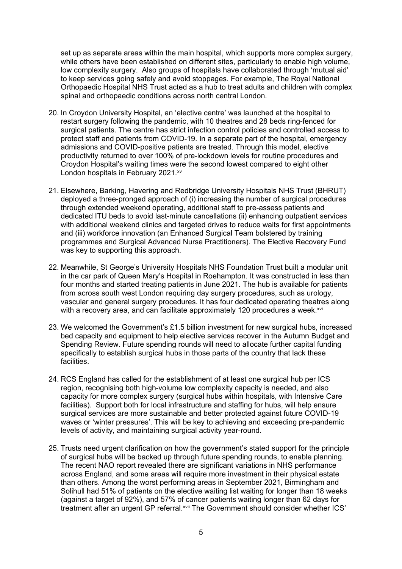set up as separate areas within the main hospital, which supports more complex surgery, while others have been established on different sites, particularly to enable high volume, low complexity surgery. Also groups of hospitals have collaborated through 'mutual aid' to keep services going safely and avoid stoppages. For example, The Royal National Orthopaedic Hospital NHS Trust acted as a hub to treat adults and children with complex spinal and orthopaedic conditions across north central London.

- 20. In Croydon University Hospital, an 'elective centre' was launched at the hospital to restart surgery following the pandemic, with 10 theatres and 28 beds ring-fenced for surgical patients. The centre has strict infection control policies and controlled access to protect staff and patients from COVID-19. In a separate part of the hospital, emergency admissions and COVID-positive patients are treated. Through this model, elective productivity returned to over 100% of pre-lockdown levels for routine procedures and Croydon Hospital's waiting times were the second lowest compared to eight other London hospitals in February 2021.xv
- 21. Elsewhere, Barking, Havering and Redbridge University Hospitals NHS Trust (BHRUT) deployed a three-pronged approach of (i) increasing the number of surgical procedures through extended weekend operating, additional staff to pre-assess patients and dedicated ITU beds to avoid last-minute cancellations (ii) enhancing outpatient services with additional weekend clinics and targeted drives to reduce waits for first appointments and (iii) workforce innovation (an Enhanced Surgical Team bolstered by training programmes and Surgical Advanced Nurse Practitioners). The Elective Recovery Fund was key to supporting this approach.
- 22. Meanwhile, St George's University Hospitals NHS Foundation Trust built a modular unit in the car park of Queen Mary's Hospital in Roehampton. It was constructed in less than four months and started treating patients in June 2021. The hub is available for patients from across south west London requiring day surgery procedures, such as urology, vascular and general surgery procedures. It has four dedicated operating theatres along with a recovery area, and can facilitate approximately 120 procedures a week.<sup>xvi</sup>
- 23. We welcomed the Government's £1.5 billion investment for new surgical hubs, increased bed capacity and equipment to help elective services recover in the Autumn Budget and Spending Review. Future spending rounds will need to allocate further capital funding specifically to establish surgical hubs in those parts of the country that lack these facilities.
- 24. RCS England has called for the establishment of at least one surgical hub per ICS region, recognising both high-volume low complexity capacity is needed, and also capacity for more complex surgery (surgical hubs within hospitals, with Intensive Care facilities). Support both for local infrastructure and staffing for hubs, will help ensure surgical services are more sustainable and better protected against future COVID-19 waves or 'winter pressures'. This will be key to achieving and exceeding pre-pandemic levels of activity, and maintaining surgical activity year-round.
- 25. Trusts need urgent clarification on how the government's stated support for the principle of surgical hubs will be backed up through future spending rounds, to enable planning. The recent NAO report revealed there are significant variations in NHS performance across England, and some areas will require more investment in their physical estate than others. Among the worst performing areas in September 2021, Birmingham and Solihull had 51% of patients on the elective waiting list waiting for longer than 18 weeks (against a target of 92%), and 57% of cancer patients waiting longer than 62 days for treatment after an urgent GP referral.xvii The Government should consider whether ICS'